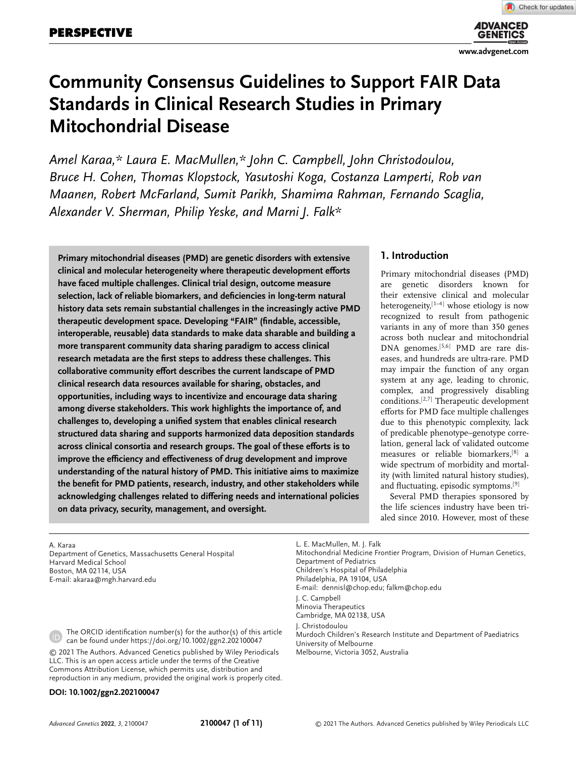**[www.advgenet.com](http://www.advgenet.com)**

# **Community Consensus Guidelines to Support FAIR Data Standards in Clinical Research Studies in Primary Mitochondrial Disease**

*Amel Karaa,\* Laura E. MacMullen,\* John C. Campbell, John Christodoulou, Bruce H. Cohen, Thomas Klopstock, Yasutoshi Koga, Costanza Lamperti, Rob van Maanen, Robert McFarland, Sumit Parikh, Shamima Rahman, Fernando Scaglia, Alexander V. Sherman, Philip Yeske, and Marni J. Falk\**

**Primary mitochondrial diseases (PMD) are genetic disorders with extensive clinical and molecular heterogeneity where therapeutic development efforts have faced multiple challenges. Clinical trial design, outcome measure selection, lack of reliable biomarkers, and deficiencies in long-term natural history data sets remain substantial challenges in the increasingly active PMD therapeutic development space. Developing "FAIR" (findable, accessible, interoperable, reusable) data standards to make data sharable and building a more transparent community data sharing paradigm to access clinical research metadata are the first steps to address these challenges. This collaborative community effort describes the current landscape of PMD clinical research data resources available for sharing, obstacles, and opportunities, including ways to incentivize and encourage data sharing among diverse stakeholders. This work highlights the importance of, and challenges to, developing a unified system that enables clinical research structured data sharing and supports harmonized data deposition standards across clinical consortia and research groups. The goal of these efforts is to improve the efficiency and effectiveness of drug development and improve understanding of the natural history of PMD. This initiative aims to maximize the benefit for PMD patients, research, industry, and other stakeholders while acknowledging challenges related to differing needs and international policies on data privacy, security, management, and oversight.**

### **1. Introduction**

Primary mitochondrial diseases (PMD) are genetic disorders known for their extensive clinical and molecular heterogeneity,<sup>[1–4]</sup> whose etiology is now recognized to result from pathogenic variants in any of more than 350 genes across both nuclear and mitochondrial DNA genomes.[5,6] PMD are rare diseases, and hundreds are ultra-rare. PMD may impair the function of any organ system at any age, leading to chronic, complex, and progressively disabling conditions.[2,7] Therapeutic development efforts for PMD face multiple challenges due to this phenotypic complexity, lack of predicable phenotype–genotype correlation, general lack of validated outcome measures or reliable biomarkers,[8] a wide spectrum of morbidity and mortality (with limited natural history studies), and fluctuating, episodic symptoms.[9]

Several PMD therapies sponsored by the life sciences industry have been trialed since 2010. However, most of these

A. Karaa Department of Genetics, Massachusetts General Hospital Harvard Medical School Boston, MA 02114, USA E-mail: [akaraa@mgh.harvard.edu](mailto:akaraa@mgh.harvard.edu)

The ORCID identification number(s) for the author(s) of this article can be found under<https://doi.org/10.1002/ggn2.202100047>

© 2021 The Authors. Advanced Genetics published by Wiley Periodicals LLC. This is an open access article under the terms of the [Creative](http://creativecommons.org/licenses/by/4.0/) [Commons Attribution](http://creativecommons.org/licenses/by/4.0/) License, which permits use, distribution and reproduction in any medium, provided the original work is properly cited.

#### **DOI: 10.1002/ggn2.202100047**

L. E. MacMullen, M. J. Falk Mitochondrial Medicine Frontier Program, Division of Human Genetics, Department of Pediatrics Children's Hospital of Philadelphia Philadelphia, PA 19104, USA E-mail: [dennisl@chop.edu;](mailto:dennisl@chop.edu) [falkm@chop.edu](mailto:falkm@chop.edu) J. C. Campbell Minovia Therapeutics Cambridge, MA 02138, USA J. Christodoulou Murdoch Children's Research Institute and Department of Paediatrics University of Melbourne Melbourne, Victoria 3052, Australia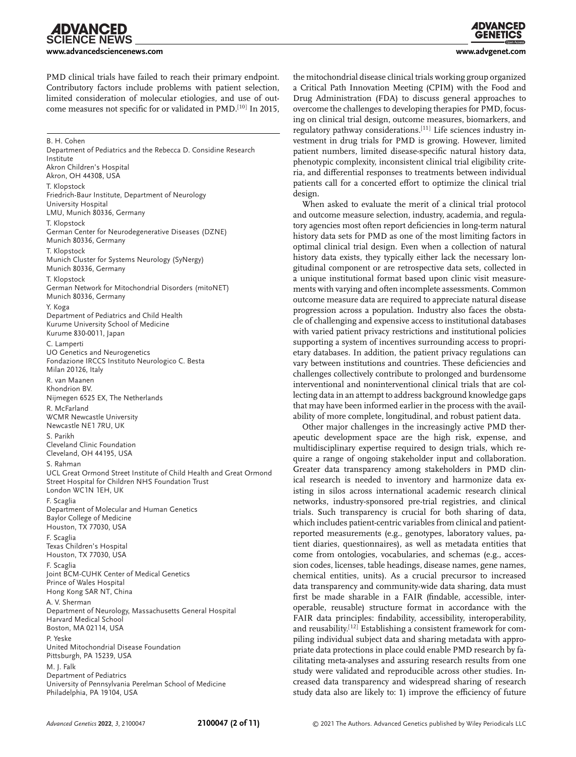**IDVANCED CIENCE NEWS** 

**[www.advancedsciencenews.com](http://www.advancedsciencenews.com) [www.advgenet.com](http://www.advgenet.com)**

PMD clinical trials have failed to reach their primary endpoint. Contributory factors include problems with patient selection, limited consideration of molecular etiologies, and use of outcome measures not specific for or validated in PMD.[10] In 2015,

B. H. Cohen Department of Pediatrics and the Rebecca D. Considine Research Institute Akron Children's Hospital Akron, OH 44308, USA T. Klopstock Friedrich-Baur Institute, Department of Neurology University Hospital LMU, Munich 80336, Germany T. Klopstock German Center for Neurodegenerative Diseases (DZNE) Munich 80336, Germany T. Klopstock Munich Cluster for Systems Neurology (SyNergy) Munich 80336, Germany T. Klopstock German Network for Mitochondrial Disorders (mitoNET) Munich 80336, Germany Y. Koga Department of Pediatrics and Child Health Kurume University School of Medicine Kurume 830-0011, Japan C. Lamperti UO Genetics and Neurogenetics Fondazione IRCCS Instituto Neurologico C. Besta Milan 20126, Italy R. van Maanen Khondrion BV. Nijmegen 6525 EX, The Netherlands R. McFarland WCMR Newcastle University Newcastle NE1 7RU, UK S. Parikh Cleveland Clinic Foundation Cleveland, OH 44195, USA S. Rahman UCL Great Ormond Street Institute of Child Health and Great Ormond Street Hospital for Children NHS Foundation Trust London WC1N 1EH, UK F. Scaglia Department of Molecular and Human Genetics Baylor College of Medicine Houston, TX 77030, USA F. Scaglia Texas Children's Hospital Houston, TX 77030, USA F. Scaglia Joint BCM-CUHK Center of Medical Genetics Prince of Wales Hospital Hong Kong SAR NT, China A. V. Sherman Department of Neurology, Massachusetts General Hospital Harvard Medical School Boston, MA 02114, USA P. Yeske United Mitochondrial Disease Foundation Pittsburgh, PA 15239, USA M. J. Falk Department of Pediatrics University of Pennsylvania Perelman School of Medicine Philadelphia, PA 19104, USA

the mitochondrial disease clinical trials working group organized a Critical Path Innovation Meeting (CPIM) with the Food and Drug Administration (FDA) to discuss general approaches to overcome the challenges to developing therapies for PMD, focusing on clinical trial design, outcome measures, biomarkers, and regulatory pathway considerations.[11] Life sciences industry investment in drug trials for PMD is growing. However, limited patient numbers, limited disease-specific natural history data, phenotypic complexity, inconsistent clinical trial eligibility criteria, and differential responses to treatments between individual patients call for a concerted effort to optimize the clinical trial design.

When asked to evaluate the merit of a clinical trial protocol and outcome measure selection, industry, academia, and regulatory agencies most often report deficiencies in long-term natural history data sets for PMD as one of the most limiting factors in optimal clinical trial design. Even when a collection of natural history data exists, they typically either lack the necessary longitudinal component or are retrospective data sets, collected in a unique institutional format based upon clinic visit measurements with varying and often incomplete assessments. Common outcome measure data are required to appreciate natural disease progression across a population. Industry also faces the obstacle of challenging and expensive access to institutional databases with varied patient privacy restrictions and institutional policies supporting a system of incentives surrounding access to proprietary databases. In addition, the patient privacy regulations can vary between institutions and countries. These deficiencies and challenges collectively contribute to prolonged and burdensome interventional and noninterventional clinical trials that are collecting data in an attempt to address background knowledge gaps that may have been informed earlier in the process with the availability of more complete, longitudinal, and robust patient data.

Other major challenges in the increasingly active PMD therapeutic development space are the high risk, expense, and multidisciplinary expertise required to design trials, which require a range of ongoing stakeholder input and collaboration. Greater data transparency among stakeholders in PMD clinical research is needed to inventory and harmonize data existing in silos across international academic research clinical networks, industry-sponsored pre-trial registries, and clinical trials. Such transparency is crucial for both sharing of data, which includes patient-centric variables from clinical and patientreported measurements (e.g., genotypes, laboratory values, patient diaries, questionnaires), as well as metadata entities that come from ontologies, vocabularies, and schemas (e.g., accession codes, licenses, table headings, disease names, gene names, chemical entities, units). As a crucial precursor to increased data transparency and community-wide data sharing, data must first be made sharable in a FAIR (findable, accessible, interoperable, reusable) structure format in accordance with the FAIR data principles: findability, accessibility, interoperability, and reusability.[12] Establishing a consistent framework for compiling individual subject data and sharing metadata with appropriate data protections in place could enable PMD research by facilitating meta-analyses and assuring research results from one study were validated and reproducible across other studies. Increased data transparency and widespread sharing of research study data also are likely to: 1) improve the efficiency of future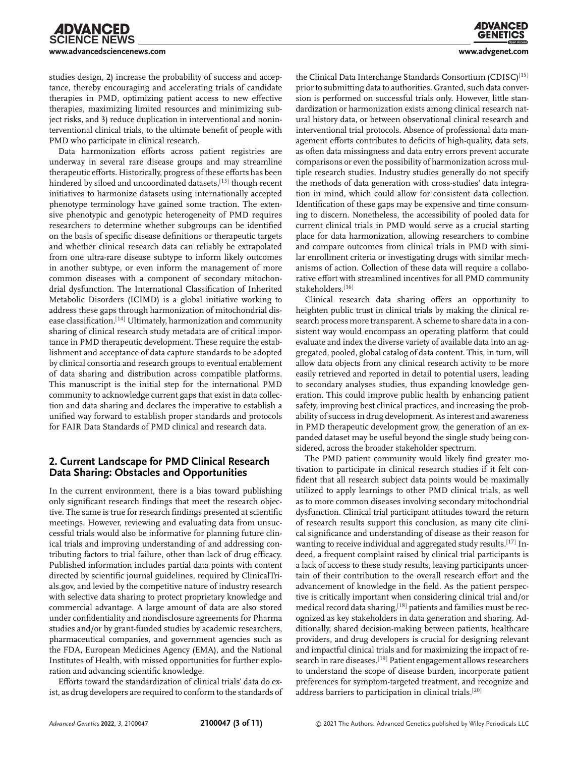studies design, 2) increase the probability of success and acceptance, thereby encouraging and accelerating trials of candidate therapies in PMD, optimizing patient access to new effective therapies, maximizing limited resources and minimizing subject risks, and 3) reduce duplication in interventional and noninterventional clinical trials, to the ultimate benefit of people with PMD who participate in clinical research.

Data harmonization efforts across patient registries are underway in several rare disease groups and may streamline therapeutic efforts. Historically, progress of these efforts has been hindered by siloed and uncoordinated datasets, [13] though recent initiatives to harmonize datasets using internationally accepted phenotype terminology have gained some traction. The extensive phenotypic and genotypic heterogeneity of PMD requires researchers to determine whether subgroups can be identified on the basis of specific disease definitions or therapeutic targets and whether clinical research data can reliably be extrapolated from one ultra-rare disease subtype to inform likely outcomes in another subtype, or even inform the management of more common diseases with a component of secondary mitochondrial dysfunction. The International Classification of Inherited Metabolic Disorders (ICIMD) is a global initiative working to address these gaps through harmonization of mitochondrial disease classification.[14] Ultimately, harmonization and community sharing of clinical research study metadata are of critical importance in PMD therapeutic development. These require the establishment and acceptance of data capture standards to be adopted by clinical consortia and research groups to eventual enablement of data sharing and distribution across compatible platforms. This manuscript is the initial step for the international PMD community to acknowledge current gaps that exist in data collection and data sharing and declares the imperative to establish a unified way forward to establish proper standards and protocols for FAIR Data Standards of PMD clinical and research data.

#### **2. Current Landscape for PMD Clinical Research Data Sharing: Obstacles and Opportunities**

In the current environment, there is a bias toward publishing only significant research findings that meet the research objective. The same is true for research findings presented at scientific meetings. However, reviewing and evaluating data from unsuccessful trials would also be informative for planning future clinical trials and improving understanding of and addressing contributing factors to trial failure, other than lack of drug efficacy. Published information includes partial data points with content directed by scientific journal guidelines, required by ClinicalTrials.gov, and levied by the competitive nature of industry research with selective data sharing to protect proprietary knowledge and commercial advantage. A large amount of data are also stored under confidentiality and nondisclosure agreements for Pharma studies and/or by grant-funded studies by academic researchers, pharmaceutical companies, and government agencies such as the FDA, European Medicines Agency (EMA), and the National Institutes of Health, with missed opportunities for further exploration and advancing scientific knowledge.

Efforts toward the standardization of clinical trials' data do exist, as drug developers are required to conform to the standards of the Clinical Data Interchange Standards Consortium (CDISC)<sup>[15]</sup> prior to submitting data to authorities. Granted, such data conversion is performed on successful trials only. However, little standardization or harmonization exists among clinical research natural history data, or between observational clinical research and interventional trial protocols. Absence of professional data management efforts contributes to deficits of high-quality, data sets, as often data missingness and data entry errors prevent accurate comparisons or even the possibility of harmonization across multiple research studies. Industry studies generally do not specify the methods of data generation with cross-studies' data integration in mind, which could allow for consistent data collection. Identification of these gaps may be expensive and time consuming to discern. Nonetheless, the accessibility of pooled data for current clinical trials in PMD would serve as a crucial starting place for data harmonization, allowing researchers to combine and compare outcomes from clinical trials in PMD with similar enrollment criteria or investigating drugs with similar mechanisms of action. Collection of these data will require a collaborative effort with streamlined incentives for all PMD community stakeholders.[16]

Clinical research data sharing offers an opportunity to heighten public trust in clinical trials by making the clinical research process more transparent. A scheme to share data in a consistent way would encompass an operating platform that could evaluate and index the diverse variety of available data into an aggregated, pooled, global catalog of data content. This, in turn, will allow data objects from any clinical research activity to be more easily retrieved and reported in detail to potential users, leading to secondary analyses studies, thus expanding knowledge generation. This could improve public health by enhancing patient safety, improving best clinical practices, and increasing the probability of success in drug development. As interest and awareness in PMD therapeutic development grow, the generation of an expanded dataset may be useful beyond the single study being considered, across the broader stakeholder spectrum.

The PMD patient community would likely find greater motivation to participate in clinical research studies if it felt confident that all research subject data points would be maximally utilized to apply learnings to other PMD clinical trials, as well as to more common diseases involving secondary mitochondrial dysfunction. Clinical trial participant attitudes toward the return of research results support this conclusion, as many cite clinical significance and understanding of disease as their reason for wanting to receive individual and aggregated study results.<sup>[17]</sup> Indeed, a frequent complaint raised by clinical trial participants is a lack of access to these study results, leaving participants uncertain of their contribution to the overall research effort and the advancement of knowledge in the field. As the patient perspective is critically important when considering clinical trial and/or medical record data sharing,<sup>[18]</sup> patients and families must be recognized as key stakeholders in data generation and sharing. Additionally, shared decision-making between patients, healthcare providers, and drug developers is crucial for designing relevant and impactful clinical trials and for maximizing the impact of research in rare diseases.<sup>[19]</sup> Patient engagement allows researchers to understand the scope of disease burden, incorporate patient preferences for symptom-targeted treatment, and recognize and address barriers to participation in clinical trials.[20]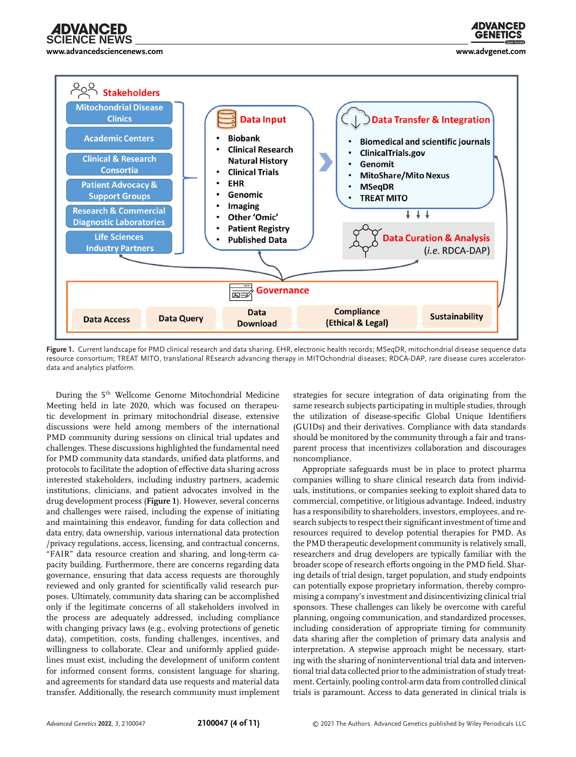

**[www.advancedsciencenews.com](http://www.advancedsciencenews.com) [www.advgenet.com](http://www.advgenet.com)**

**ADVANCED GENETICS** 



**Figure 1.** Current landscape for PMD clinical research and data sharing. EHR, electronic health records; MSeqDR, mitochondrial disease sequence data resource consortium; TREAT MITO, translational REsearch advancing therapy in MITOchondrial diseases; RDCA-DAP, rare disease cures acceleratordata and analytics platform.

During the 5<sup>th</sup> Wellcome Genome Mitochondrial Medicine Meeting held in late 2020, which was focused on therapeutic development in primary mitochondrial disease, extensive discussions were held among members of the international PMD community during sessions on clinical trial updates and challenges. These discussions highlighted the fundamental need for PMD community data standards, unified data platforms, and protocols to facilitate the adoption of effective data sharing across interested stakeholders, including industry partners, academic institutions, clinicians, and patient advocates involved in the drug development process (**Figure 1**). However, several concerns and challenges were raised, including the expense of initiating and maintaining this endeavor, funding for data collection and data entry, data ownership, various international data protection /privacy regulations, access, licensing, and contractual concerns, "FAIR" data resource creation and sharing, and long-term capacity building. Furthermore, there are concerns regarding data governance, ensuring that data access requests are thoroughly reviewed and only granted for scientifically valid research purposes. Ultimately, community data sharing can be accomplished only if the legitimate concerns of all stakeholders involved in the process are adequately addressed, including compliance with changing privacy laws (e.g., evolving protections of genetic data), competition, costs, funding challenges, incentives, and willingness to collaborate. Clear and uniformly applied guidelines must exist, including the development of uniform content for informed consent forms, consistent language for sharing, and agreements for standard data use requests and material data transfer. Additionally, the research community must implement strategies for secure integration of data originating from the same research subjects participating in multiple studies, through the utilization of disease-specific Global Unique Identifiers (GUIDs) and their derivatives. Compliance with data standards should be monitored by the community through a fair and transparent process that incentivizes collaboration and discourages noncompliance.

Appropriate safeguards must be in place to protect pharma companies willing to share clinical research data from individuals, institutions, or companies seeking to exploit shared data to commercial, competitive, or litigious advantage. Indeed, industry has a responsibility to shareholders, investors, employees, and research subjects to respect their significant investment of time and resources required to develop potential therapies for PMD. As the PMD therapeutic development community is relatively small, researchers and drug developers are typically familiar with the broader scope of research efforts ongoing in the PMD field. Sharing details of trial design, target population, and study endpoints can potentially expose proprietary information, thereby compromising a company's investment and disincentivizing clinical trial sponsors. These challenges can likely be overcome with careful planning, ongoing communication, and standardized processes, including consideration of appropriate timing for community data sharing after the completion of primary data analysis and interpretation. A stepwise approach might be necessary, starting with the sharing of noninterventional trial data and interventional trial data collected prior to the administration of study treatment. Certainly, pooling control-arm data from controlled clinical trials is paramount. Access to data generated in clinical trials is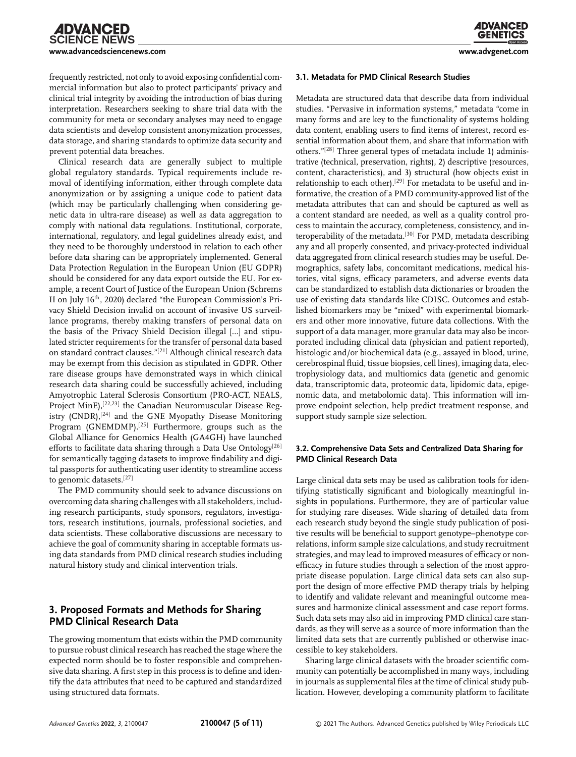frequently restricted, not only to avoid exposing confidential commercial information but also to protect participants' privacy and clinical trial integrity by avoiding the introduction of bias during interpretation. Researchers seeking to share trial data with the community for meta or secondary analyses may need to engage data scientists and develop consistent anonymization processes, data storage, and sharing standards to optimize data security and prevent potential data breaches.

Clinical research data are generally subject to multiple global regulatory standards. Typical requirements include removal of identifying information, either through complete data anonymization or by assigning a unique code to patient data (which may be particularly challenging when considering genetic data in ultra-rare disease) as well as data aggregation to comply with national data regulations. Institutional, corporate, international, regulatory, and legal guidelines already exist, and they need to be thoroughly understood in relation to each other before data sharing can be appropriately implemented. General Data Protection Regulation in the European Union (EU GDPR) should be considered for any data export outside the EU. For example, a recent Court of Justice of the European Union (Schrems II on July 16<sup>th</sup>, 2020) declared "the European Commission's Privacy Shield Decision invalid on account of invasive US surveillance programs, thereby making transfers of personal data on the basis of the Privacy Shield Decision illegal […] and stipulated stricter requirements for the transfer of personal data based on standard contract clauses."[21] Although clinical research data may be exempt from this decision as stipulated in GDPR. Other rare disease groups have demonstrated ways in which clinical research data sharing could be successfully achieved, including Amyotrophic Lateral Sclerosis Consortium (PRO-ACT, NEALS, Project MinE),<sup>[22,23]</sup> the Canadian Neuromuscular Disease Registry (CNDR),<sup>[24]</sup> and the GNE Myopathy Disease Monitoring Program (GNEMDMP).<sup>[25]</sup> Furthermore, groups such as the Global Alliance for Genomics Health (GA4GH) have launched efforts to facilitate data sharing through a Data Use Ontology<sup>[26]</sup> for semantically tagging datasets to improve findability and digital passports for authenticating user identity to streamline access to genomic datasets.[27]

The PMD community should seek to advance discussions on overcoming data sharing challenges with all stakeholders, including research participants, study sponsors, regulators, investigators, research institutions, journals, professional societies, and data scientists. These collaborative discussions are necessary to achieve the goal of community sharing in acceptable formats using data standards from PMD clinical research studies including natural history study and clinical intervention trials.

#### **3. Proposed Formats and Methods for Sharing PMD Clinical Research Data**

The growing momentum that exists within the PMD community to pursue robust clinical research has reached the stage where the expected norm should be to foster responsible and comprehensive data sharing. A first step in this process is to define and identify the data attributes that need to be captured and standardized using structured data formats.

Metadata are structured data that describe data from individual studies. "Pervasive in information systems," metadata "come in many forms and are key to the functionality of systems holding data content, enabling users to find items of interest, record essential information about them, and share that information with others."[28] Three general types of metadata include 1) administrative (technical, preservation, rights), 2) descriptive (resources, content, characteristics), and 3) structural (how objects exist in relationship to each other).<sup>[29]</sup> For metadata to be useful and informative, the creation of a PMD community-approved list of the metadata attributes that can and should be captured as well as a content standard are needed, as well as a quality control process to maintain the accuracy, completeness, consistency, and interoperability of the metadata.<sup>[30]</sup> For PMD, metadata describing any and all properly consented, and privacy-protected individual data aggregated from clinical research studies may be useful. Demographics, safety labs, concomitant medications, medical histories, vital signs, efficacy parameters, and adverse events data can be standardized to establish data dictionaries or broaden the use of existing data standards like CDISC. Outcomes and established biomarkers may be "mixed" with experimental biomarkers and other more innovative, future data collections. With the support of a data manager, more granular data may also be incorporated including clinical data (physician and patient reported), histologic and/or biochemical data (e.g., assayed in blood, urine, cerebrospinal fluid, tissue biopsies, cell lines), imaging data, electrophysiology data, and multiomics data (genetic and genomic data, transcriptomic data, proteomic data, lipidomic data, epigenomic data, and metabolomic data). This information will improve endpoint selection, help predict treatment response, and support study sample size selection.

#### **3.2. Comprehensive Data Sets and Centralized Data Sharing for PMD Clinical Research Data**

Large clinical data sets may be used as calibration tools for identifying statistically significant and biologically meaningful insights in populations. Furthermore, they are of particular value for studying rare diseases. Wide sharing of detailed data from each research study beyond the single study publication of positive results will be beneficial to support genotype–phenotype correlations, inform sample size calculations, and study recruitment strategies, and may lead to improved measures of efficacy or nonefficacy in future studies through a selection of the most appropriate disease population. Large clinical data sets can also support the design of more effective PMD therapy trials by helping to identify and validate relevant and meaningful outcome measures and harmonize clinical assessment and case report forms. Such data sets may also aid in improving PMD clinical care standards, as they will serve as a source of more information than the limited data sets that are currently published or otherwise inaccessible to key stakeholders.

Sharing large clinical datasets with the broader scientific community can potentially be accomplished in many ways, including in journals as supplemental files at the time of clinical study publication. However, developing a community platform to facilitate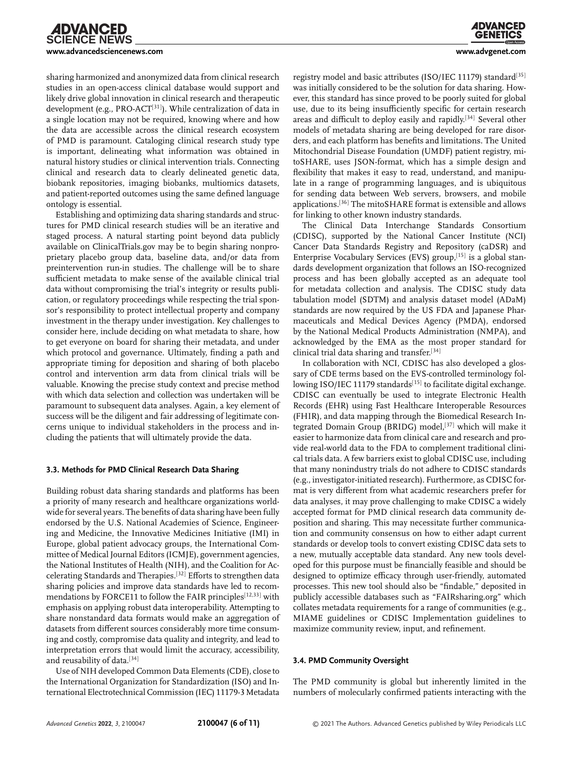sharing harmonized and anonymized data from clinical research studies in an open-access clinical database would support and likely drive global innovation in clinical research and therapeutic development (e.g., PRO-ACT<sup>[31]</sup>). While centralization of data in a single location may not be required, knowing where and how the data are accessible across the clinical research ecosystem of PMD is paramount. Cataloging clinical research study type is important, delineating what information was obtained in natural history studies or clinical intervention trials. Connecting clinical and research data to clearly delineated genetic data, biobank repositories, imaging biobanks, multiomics datasets, and patient-reported outcomes using the same defined language ontology is essential.

Establishing and optimizing data sharing standards and structures for PMD clinical research studies will be an iterative and staged process. A natural starting point beyond data publicly available on ClinicalTrials.gov may be to begin sharing nonproprietary placebo group data, baseline data, and/or data from preintervention run-in studies. The challenge will be to share sufficient metadata to make sense of the available clinical trial data without compromising the trial's integrity or results publication, or regulatory proceedings while respecting the trial sponsor's responsibility to protect intellectual property and company investment in the therapy under investigation. Key challenges to consider here, include deciding on what metadata to share, how to get everyone on board for sharing their metadata, and under which protocol and governance. Ultimately, finding a path and appropriate timing for deposition and sharing of both placebo control and intervention arm data from clinical trials will be valuable. Knowing the precise study context and precise method with which data selection and collection was undertaken will be paramount to subsequent data analyses. Again, a key element of success will be the diligent and fair addressing of legitimate concerns unique to individual stakeholders in the process and including the patients that will ultimately provide the data.

#### **3.3. Methods for PMD Clinical Research Data Sharing**

Building robust data sharing standards and platforms has been a priority of many research and healthcare organizations worldwide for several years. The benefits of data sharing have been fully endorsed by the U.S. National Academies of Science, Engineering and Medicine, the Innovative Medicines Initiative (IMI) in Europe, global patient advocacy groups, the International Committee of Medical Journal Editors (ICMJE), government agencies, the National Institutes of Health (NIH), and the Coalition for Accelerating Standards and Therapies.[32] Efforts to strengthen data sharing policies and improve data standards have led to recommendations by FORCE11 to follow the FAIR principles<sup>[12,33]</sup> with emphasis on applying robust data interoperability. Attempting to share nonstandard data formats would make an aggregation of datasets from different sources considerably more time consuming and costly, compromise data quality and integrity, and lead to interpretation errors that would limit the accuracy, accessibility, and reusability of data.[34]

Use of NIH developed Common Data Elements (CDE), close to the International Organization for Standardization (ISO) and International Electrotechnical Commission (IEC) 11179-3 Metadata

registry model and basic attributes (ISO/IEC 11179) standard<sup>[35]</sup> was initially considered to be the solution for data sharing. However, this standard has since proved to be poorly suited for global use, due to its being insufficiently specific for certain research areas and difficult to deploy easily and rapidly.[34] Several other models of metadata sharing are being developed for rare disorders, and each platform has benefits and limitations. The United Mitochondrial Disease Foundation (UMDF) patient registry, mitoSHARE, uses JSON-format, which has a simple design and flexibility that makes it easy to read, understand, and manipulate in a range of programming languages, and is ubiquitous for sending data between Web servers, browsers, and mobile applications.[36] The mitoSHARE format is extensible and allows for linking to other known industry standards.

The Clinical Data Interchange Standards Consortium (CDISC), supported by the National Cancer Institute (NCI) Cancer Data Standards Registry and Repository (caDSR) and Enterprise Vocabulary Services (EVS) group,  $[15]$  is a global standards development organization that follows an ISO-recognized process and has been globally accepted as an adequate tool for metadata collection and analysis. The CDISC study data tabulation model (SDTM) and analysis dataset model (ADaM) standards are now required by the US FDA and Japanese Pharmaceuticals and Medical Devices Agency (PMDA), endorsed by the National Medical Products Administration (NMPA), and acknowledged by the EMA as the most proper standard for clinical trial data sharing and transfer.[34]

In collaboration with NCI, CDISC has also developed a glossary of CDE terms based on the EVS-controlled terminology following ISO/IEC 11179 standards<sup>[15]</sup> to facilitate digital exchange. CDISC can eventually be used to integrate Electronic Health Records (EHR) using Fast Healthcare Interoperable Resources (FHIR), and data mapping through the Biomedical Research Integrated Domain Group (BRIDG) model,<sup>[37]</sup> which will make it easier to harmonize data from clinical care and research and provide real-world data to the FDA to complement traditional clinical trials data. A few barriers exist to global CDISC use, including that many nonindustry trials do not adhere to CDISC standards (e.g., investigator-initiated research). Furthermore, as CDISC format is very different from what academic researchers prefer for data analyses, it may prove challenging to make CDISC a widely accepted format for PMD clinical research data community deposition and sharing. This may necessitate further communication and community consensus on how to either adapt current standards or develop tools to convert existing CDISC data sets to a new, mutually acceptable data standard. Any new tools developed for this purpose must be financially feasible and should be designed to optimize efficacy through user-friendly, automated processes. This new tool should also be "findable," deposited in publicly accessible databases such as "FAIRsharing.org" which collates metadata requirements for a range of communities (e.g., MIAME guidelines or CDISC Implementation guidelines to maximize community review, input, and refinement.

#### **3.4. PMD Community Oversight**

The PMD community is global but inherently limited in the numbers of molecularly confirmed patients interacting with the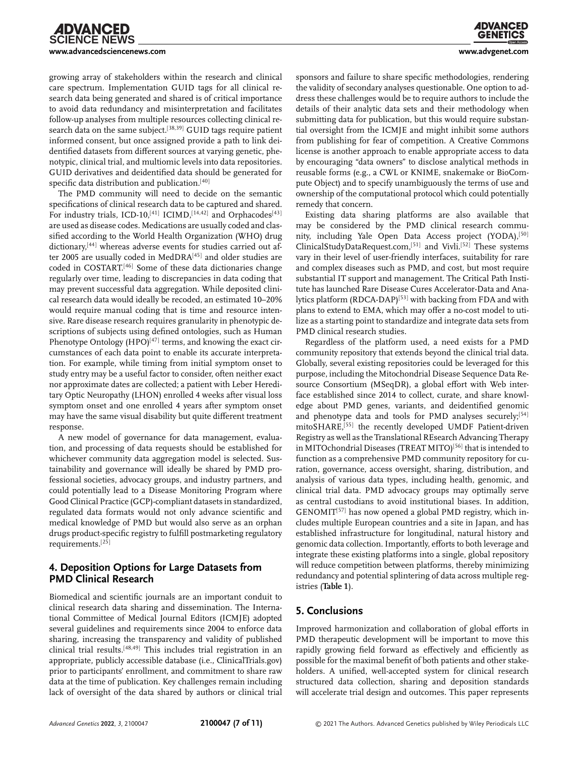growing array of stakeholders within the research and clinical care spectrum. Implementation GUID tags for all clinical research data being generated and shared is of critical importance to avoid data redundancy and misinterpretation and facilitates follow-up analyses from multiple resources collecting clinical research data on the same subject.<sup>[38,39]</sup> GUID tags require patient informed consent, but once assigned provide a path to link deidentified datasets from different sources at varying genetic, phenotypic, clinical trial, and multiomic levels into data repositories. GUID derivatives and deidentified data should be generated for specific data distribution and publication.<sup>[40]</sup>

The PMD community will need to decide on the semantic specifications of clinical research data to be captured and shared. For industry trials, ICD-10,<sup>[41]</sup> ICIMD,<sup>[14,42]</sup> and Orphacodes<sup>[43]</sup> are used as disease codes. Medications are usually coded and classified according to the World Health Organization (WHO) drug dictionary,<sup>[44]</sup> whereas adverse events for studies carried out after 2005 are usually coded in MedDRA<sup>[45]</sup> and older studies are coded in COSTART.[46] Some of these data dictionaries change regularly over time, leading to discrepancies in data coding that may prevent successful data aggregation. While deposited clinical research data would ideally be recoded, an estimated 10–20% would require manual coding that is time and resource intensive. Rare disease research requires granularity in phenotypic descriptions of subjects using defined ontologies, such as Human Phenotype Ontology  $(HPO)^{[47]}$  terms, and knowing the exact circumstances of each data point to enable its accurate interpretation. For example, while timing from initial symptom onset to study entry may be a useful factor to consider, often neither exact nor approximate dates are collected; a patient with Leber Hereditary Optic Neuropathy (LHON) enrolled 4 weeks after visual loss symptom onset and one enrolled 4 years after symptom onset may have the same visual disability but quite different treatment response.

A new model of governance for data management, evaluation, and processing of data requests should be established for whichever community data aggregation model is selected. Sustainability and governance will ideally be shared by PMD professional societies, advocacy groups, and industry partners, and could potentially lead to a Disease Monitoring Program where Good Clinical Practice (GCP)-compliant datasets in standardized, regulated data formats would not only advance scientific and medical knowledge of PMD but would also serve as an orphan drugs product-specific registry to fulfill postmarketing regulatory requirements.[25]

#### **4. Deposition Options for Large Datasets from PMD Clinical Research**

Biomedical and scientific journals are an important conduit to clinical research data sharing and dissemination. The International Committee of Medical Journal Editors (ICMJE) adopted several guidelines and requirements since 2004 to enforce data sharing, increasing the transparency and validity of published clinical trial results.[48,49] This includes trial registration in an appropriate, publicly accessible database (i.e., ClinicalTrials.gov) prior to participants' enrollment, and commitment to share raw data at the time of publication. Key challenges remain including lack of oversight of the data shared by authors or clinical trial sponsors and failure to share specific methodologies, rendering the validity of secondary analyses questionable. One option to address these challenges would be to require authors to include the details of their analytic data sets and their methodology when submitting data for publication, but this would require substantial oversight from the ICMJE and might inhibit some authors from publishing for fear of competition. A Creative Commons license is another approach to enable appropriate access to data by encouraging "data owners" to disclose analytical methods in reusable forms (e.g., a CWL or KNIME, snakemake or BioCompute Object) and to specify unambiguously the terms of use and ownership of the computational protocol which could potentially remedy that concern.

Existing data sharing platforms are also available that may be considered by the PMD clinical research community, including Yale Open Data Access project (YODA),<sup>[50]</sup> ClinicalStudyDataRequest.com,[51] and Vivli.[52] These systems vary in their level of user-friendly interfaces, suitability for rare and complex diseases such as PMD, and cost, but most require substantial IT support and management. The Critical Path Institute has launched Rare Disease Cures Accelerator-Data and Analytics platform (RDCA-DAP)<sup>[53]</sup> with backing from FDA and with plans to extend to EMA, which may offer a no-cost model to utilize as a starting point to standardize and integrate data sets from PMD clinical research studies.

Regardless of the platform used, a need exists for a PMD community repository that extends beyond the clinical trial data. Globally, several existing repositories could be leveraged for this purpose, including the Mitochondrial Disease Sequence Data Resource Consortium (MSeqDR), a global effort with Web interface established since 2014 to collect, curate, and share knowledge about PMD genes, variants, and deidentified genomic and phenotype data and tools for PMD analyses securely;<sup>[54]</sup> mitoSHARE,[55] the recently developed UMDF Patient-driven Registry as well as the Translational REsearch Advancing Therapy in MITOchondrial Diseases (TREAT MITO)<sup>[56]</sup> that is intended to function as a comprehensive PMD community repository for curation, governance, access oversight, sharing, distribution, and analysis of various data types, including health, genomic, and clinical trial data. PMD advocacy groups may optimally serve as central custodians to avoid institutional biases. In addition,  $GENOMIT<sup>[57]</sup>$  has now opened a global PMD registry, which includes multiple European countries and a site in Japan, and has established infrastructure for longitudinal, natural history and genomic data collection. Importantly, efforts to both leverage and integrate these existing platforms into a single, global repository will reduce competition between platforms, thereby minimizing redundancy and potential splintering of data across multiple registries (**Table 1**).

#### **5. Conclusions**

Improved harmonization and collaboration of global efforts in PMD therapeutic development will be important to move this rapidly growing field forward as effectively and efficiently as possible for the maximal benefit of both patients and other stakeholders. A unified, well-accepted system for clinical research structured data collection, sharing and deposition standards will accelerate trial design and outcomes. This paper represents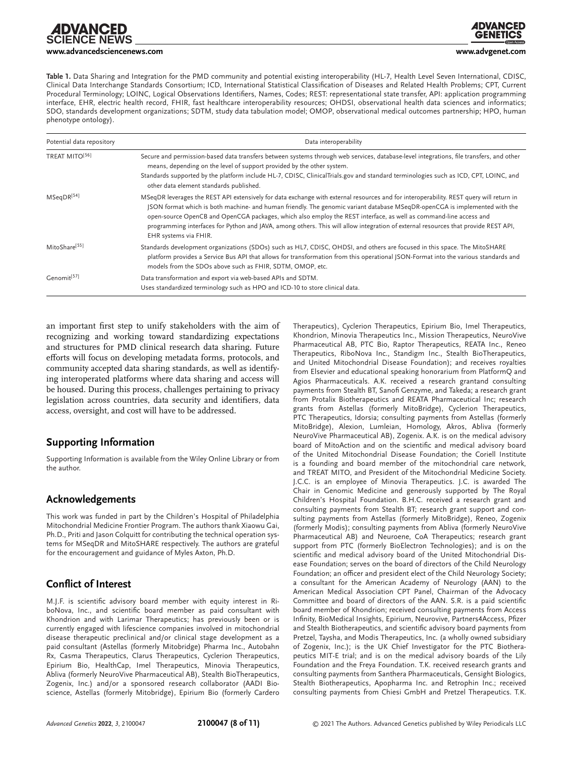**[www.advancedsciencenews.com](http://www.advancedsciencenews.com) [www.advgenet.com](http://www.advgenet.com)**

**Table 1.** Data Sharing and Integration for the PMD community and potential existing interoperability (HL-7, Health Level Seven International, CDISC, Clinical Data Interchange Standards Consortium; ICD, International Statistical Classification of Diseases and Related Health Problems; CPT, Current Procedural Terminology; LOINC, Logical Observations Identifiers, Names, Codes; REST: representational state transfer, API: application programming interface, EHR, electric health record, FHIR, fast healthcare interoperability resources; OHDSI, observational health data sciences and informatics; SDO, standards development organizations; SDTM, study data tabulation model; OMOP, observational medical outcomes partnership; HPO, human phenotype ontology).

| Potential data repository  | Data interoperability                                                                                                                                                                                                                                                                                                                                                                                                                                                                                                                                     |
|----------------------------|-----------------------------------------------------------------------------------------------------------------------------------------------------------------------------------------------------------------------------------------------------------------------------------------------------------------------------------------------------------------------------------------------------------------------------------------------------------------------------------------------------------------------------------------------------------|
| TREAT MITO <sup>[56]</sup> | Secure and permission-based data transfers between systems through web services, database-level integrations, file transfers, and other<br>means, depending on the level of support provided by the other system.                                                                                                                                                                                                                                                                                                                                         |
|                            | Standards supported by the platform include HL-7, CDISC, ClinicalTrials.gov and standard terminologies such as ICD, CPT, LOINC, and<br>other data element standards published.                                                                                                                                                                                                                                                                                                                                                                            |
| MSeqDR <sup>[54]</sup>     | MSeqDR leverages the REST API extensively for data exchange with external resources and for interoperability. REST query will return in<br>JSON format which is both machine- and human friendly. The genomic variant database MSeqDR-openCGA is implemented with the<br>open-source OpenCB and OpenCGA packages, which also employ the REST interface, as well as command-line access and<br>programming interfaces for Python and JAVA, among others. This will allow integration of external resources that provide REST API,<br>EHR systems via FHIR. |
| MitoShare <sup>[55]</sup>  | Standards development organizations (SDOs) such as HL7, CDISC, OHDSI, and others are focused in this space. The MitoSHARE<br>platform provides a Service Bus API that allows for transformation from this operational JSON-Format into the various standards and<br>models from the SDOs above such as FHIR, SDTM, OMOP, etc.                                                                                                                                                                                                                             |
| Genomit <sup>[57]</sup>    | Data transformation and export via web-based APIs and SDTM.<br>Uses standardized terminology such as HPO and ICD-10 to store clinical data.                                                                                                                                                                                                                                                                                                                                                                                                               |

an important first step to unify stakeholders with the aim of recognizing and working toward standardizing expectations and structures for PMD clinical research data sharing. Future efforts will focus on developing metadata forms, protocols, and community accepted data sharing standards, as well as identifying interoperated platforms where data sharing and access will be housed. During this process, challenges pertaining to privacy legislation across countries, data security and identifiers, data access, oversight, and cost will have to be addressed.

#### **Supporting Information**

Supporting Information is available from the Wiley Online Library or from the author.

#### **Acknowledgements**

This work was funded in part by the Children's Hospital of Philadelphia Mitochondrial Medicine Frontier Program. The authors thank Xiaowu Gai, Ph.D., Priti and Jason Colquitt for contributing the technical operation systems for MSeqDR and MitoSHARE respectively. The authors are grateful for the encouragement and guidance of Myles Axton, Ph.D.

#### **Conflict of Interest**

M.J.F. is scientific advisory board member with equity interest in RiboNova, Inc., and scientific board member as paid consultant with Khondrion and with Larimar Therapeutics; has previously been or is currently engaged with lifescience companies involved in mitochondrial disease therapeutic preclinical and/or clinical stage development as a paid consultant (Astellas (formerly Mitobridge) Pharma Inc., Autobahn Rx, Casma Therapeutics, Clarus Therapeutics, Cyclerion Therapeutics, Epirium Bio, HealthCap, Imel Therapeutics, Minovia Therapeutics, Abliva (formerly NeuroVive Pharmaceutical AB), Stealth BioTherapeutics, Zogenix, Inc.) and/or a sponsored research collaborator (AADI Bioscience, Astellas (formerly Mitobridge), Epirium Bio (formerly Cardero Therapeutics), Cyclerion Therapeutics, Epirium Bio, Imel Therapeutics, Khondrion, Minovia Therapeutics Inc., Mission Therapeutics, NeuroVive Pharmaceutical AB, PTC Bio, Raptor Therapeutics, REATA Inc., Reneo Therapeutics, RiboNova Inc., Standigm Inc., Stealth BioTherapeutics, and United Mitochondrial Disease Foundation); and receives royalties from Elsevier and educational speaking honorarium from PlatformQ and Agios Pharmaceuticals. A.K. received a research grantand consulting payments from Stealth BT, Sanofi Genzyme, and Takeda; a research grant from Protalix Biotherapeutics and REATA Pharmaceutical Inc; research grants from Astellas (formerly MitoBridge), Cyclerion Therapeutics, PTC Therapeutics, Idorsia; consulting payments from Astellas (formerly MitoBridge), Alexion, Lumleian, Homology, Akros, Abliva (formerly NeuroVive Pharmaceutical AB), Zogenix. A.K. is on the medical advisory board of MitoAction and on the scientific and medical advisory board of the United Mitochondrial Disease Foundation; the Coriell Institute is a founding and board member of the mitochondrial care network, and TREAT MITO, and President of the Mitochondrial Medicine Society. J.C.C. is an employee of Minovia Therapeutics. J.C. is awarded The Chair in Genomic Medicine and generously supported by The Royal Children's Hospital Foundation. B.H.C. received a research grant and consulting payments from Stealth BT; research grant support and consulting payments from Astellas (formerly MitoBridge), Reneo, Zogenix (formerly Modis); consulting payments from Abliva (formerly NeuroVive Pharmaceutical AB) and Neuroene, CoA Therapeutics; research grant support from PTC (formerly BioElectron Technologies); and is on the scientific and medical advisory board of the United Mitochondrial Disease Foundation; serves on the board of directors of the Child Neurology Foundation; an officer and president elect of the Child Neurology Society; a consultant for the American Academy of Neurology (AAN) to the American Medical Association CPT Panel, Chairman of the Advocacy Committee and board of directors of the AAN. S.R. is a paid scientific board member of Khondrion; received consulting payments from Access Infinity, BioMedical Insights, Epirium, Neurovive, Partners4Access, Pfizer and Stealth Biotherapeutics, and scientific advisory board payments from Pretzel, Taysha, and Modis Therapeutics, Inc. (a wholly owned subsidiary of Zogenix, Inc.); is the UK Chief Investigator for the PTC Biotherapeutics MIT-E trial; and is on the medical advisory boards of the Lily Foundation and the Freya Foundation. T.K. received research grants and consulting payments from Santhera Pharmaceuticals, Gensight Biologics, Stealth Biotherapeutics, Apopharma Inc. and Retrophin Inc.; received consulting payments from Chiesi GmbH and Pretzel Therapeutics. T.K.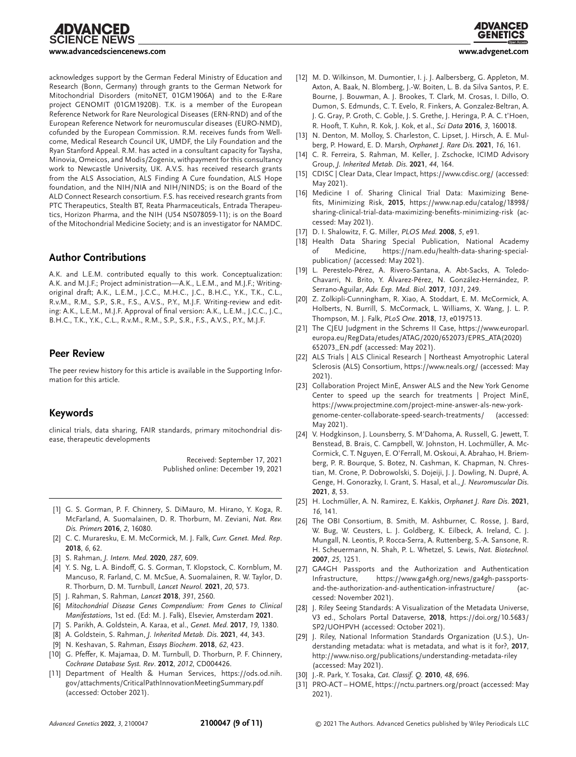**∶IENCE NEWS** 



acknowledges support by the German Federal Ministry of Education and Research (Bonn, Germany) through grants to the German Network for Mitochondrial Disorders (mitoNET, 01GM1906A) and to the E-Rare project GENOMIT (01GM1920B). T.K. is a member of the European Reference Network for Rare Neurological Diseases (ERN-RND) and of the European Reference Network for neuromuscular diseases (EURO-NMD), cofunded by the European Commission. R.M. receives funds from Wellcome, Medical Research Council UK, UMDF, the Lily Foundation and the Ryan Stanford Appeal. R.M. has acted in a consultant capacity for Taysha, Minovia, Omeicos, and Modis/Zogenix, withpayment for this consultancy work to Newcastle University, UK. A.V.S. has received research grants from the ALS Association, ALS Finding A Cure foundation, ALS Hope foundation, and the NIH/NIA and NIH/NINDS; is on the Board of the ALD Connect Research consortium. F.S. has received research grants from PTC Therapeutics, Stealth BT, Reata Pharmaceuticals, Entrada Therapeutics, Horizon Pharma, and the NIH (U54 NS078059-11); is on the Board of the Mitochondrial Medicine Society; and is an investigator for NAMDC.

#### **Author Contributions**

A.K. and L.E.M. contributed equally to this work. Conceptualization: A.K. and M.J.F.; Project administration—A.K., L.E.M., and M.J.F.; Writingoriginal draft; A.K., L.E.M., J.C.C., M.H.C., J.C., B.H.C., Y.K., T.K., C.L., R.v.M., R.M., S.P., S.R., F.S., A.V.S., P.Y., M.J.F. Writing-review and editing: A.K., L.E.M., M.J.F. Approval of final version: A.K., L.E.M., J.C.C., J.C., B.H.C., T.K., Y.K., C.L., R.v.M., R.M., S.P., S.R., F.S., A.V.S., P.Y., M.J.F.

#### **Peer Review**

The peer review history for this article is available in the Supporting Information for this article.

#### **Keywords**

clinical trials, data sharing, FAIR standards, primary mitochondrial disease, therapeutic developments

> Received: September 17, 2021 Published online: December 19, 2021

- [1] G. S. Gorman, P. F. Chinnery, S. DiMauro, M. Hirano, Y. Koga, R. McFarland, A. Suomalainen, D. R. Thorburn, M. Zeviani, *Nat. Rev. Dis. Primers* **2016**, *2*, 16080.
- [2] C. C. Muraresku, E. M. McCormick, M. J. Falk, *Curr. Genet. Med. Rep*. **2018**, *6*, 62.
- [3] S. Rahman, *J. Intern. Med.* **2020**, *287*, 609.
- [4] Y. S. Ng, L. A. Bindoff, G. S. Gorman, T. Klopstock, C. Kornblum, M. Mancuso, R. Farland, C. M. McSue, A. Suomalainen, R. W. Taylor, D. R. Thorburn, D. M. Turnbull, *Lancet Neurol.* **2021**, *20*, 573.
- [5] J. Rahman, S. Rahman, *Lancet* **2018**, *391*, 2560.
- [6] *Mitochondrial Disease Genes Compendium: From Genes to Clinical Manifestations*, 1st ed. (Ed: M. J. Falk), Elsevier, Amsterdam **2021**.
- [7] S. Parikh, A. Goldstein, A. Karaa, et al., *Genet. Med.* **2017**, *19*, 1380.
- [8] A. Goldstein, S. Rahman, *J. Inherited Metab. Dis*. **2021**, *44*, 343.
- [9] N. Keshavan, S. Rahman, *Essays Biochem*. **2018**, *62*, 423.
- [10] G. Pfeffer, K. Majamaa, D. M. Turnbull, D. Thorburn, P. F. Chinnery, *Cochrane Database Syst. Rev*. **2012**, *2012*, CD004426.
- [11] Department of Health & Human Services, [https://ods.od.nih.](https://ods.od.nih.gov/attachments/CriticalPathInnovationMeetingSummary.pdf) [gov/attachments/CriticalPathInnovationMeetingSummary.pdf](https://ods.od.nih.gov/attachments/CriticalPathInnovationMeetingSummary.pdf) (accessed: October 2021).



- [12] M. D. Wilkinson, M. Dumontier, I. j. J. Aalbersberg, G. Appleton, M. Axton, A. Baak, N. Blomberg, J.-W. Boiten, L. B. da Silva Santos, P. E. Bourne, J. Bouwman, A. J. Brookes, T. Clark, M. Crosas, I. Dillo, O. Dumon, S. Edmunds, C. T. Evelo, R. Finkers, A. Gonzalez-Beltran, A. J. G. Gray, P. Groth, C. Goble, J. S. Grethe, J. Heringa, P. A. C. t'Hoen, R. Hooft, T. Kuhn, R. Kok, J. Kok, et al., *Sci Data* **2016**, *3*, 160018.
- [13] N. Denton, M. Molloy, S. Charleston, C. Lipset, J. Hirsch, A. E. Mulberg, P. Howard, E. D. Marsh, *Orphanet J. Rare Dis*. **2021**, *16*, 161.
- [14] C. R. Ferreira, S. Rahman, M. Keller, J. Zschocke, ICIMD Advisory Group, *J. Inherited Metab. Dis*. **2021**, *44*, 164.
- [15] CDISC | Clear Data, Clear Impact,<https://www.cdisc.org/> (accessed: May 2021).
- [16] Medicine I of. Sharing Clinical Trial Data: Maximizing Benefits, Minimizing Risk, **2015**, [https://www.nap.edu/catalog/18998/](https://www.nap.edu/catalog/18998/sharing-clinical-trial-data-maximizing-benefits-minimizing-risk) [sharing-clinical-trial-data-maximizing-benefits-minimizing-risk](https://www.nap.edu/catalog/18998/sharing-clinical-trial-data-maximizing-benefits-minimizing-risk) (accessed: May 2021).
- [17] D. I. Shalowitz, F. G. Miller, *PLOS Med.* **2008**, *5*, e91.
- [18] Health Data Sharing Special Publication, National Academy of Medicine, [https://nam.edu/health-data-sharing-special](https://nam.edu/health-data-sharing-special-publication/)[publication/](https://nam.edu/health-data-sharing-special-publication/) (accessed: May 2021).
- [19] L. Perestelo-Pérez, A. Rivero-Santana, A. Abt-Sacks, A. Toledo-Chavarri, N. Brito, Y. Álvarez-Pérez, N. González-Hernández, P. Serrano-Aguilar, *Adv. Exp. Med. Biol.* **2017**, *1031*, 249.
- [20] Z. Zolkipli-Cunningham, R. Xiao, A. Stoddart, E. M. McCormick, A. Holberts, N. Burrill, S. McCormack, L. Williams, X. Wang, J. L. P. Thompson, M. J. Falk, *PLoS One*. **2018**, *13*, e0197513.
- [21] The CJEU Judgment in the Schrems II Case, [https://www.europarl.](https://www.europarl.europa.eu/RegData/etudes/ATAG/2020/652073/EPRS_ATA(2020)652073_EN.pdf) [europa.eu/RegData/etudes/ATAG/2020/652073/EPRS\\_ATA\(2020\)](https://www.europarl.europa.eu/RegData/etudes/ATAG/2020/652073/EPRS_ATA(2020)652073_EN.pdf) [652073\\_EN.pdf](https://www.europarl.europa.eu/RegData/etudes/ATAG/2020/652073/EPRS_ATA(2020)652073_EN.pdf) (accessed: May 2021).
- [22] ALS Trials | ALS Clinical Research | Northeast Amyotrophic Lateral Sclerosis (ALS) Consortium,<https://www.neals.org/> (accessed: May 2021).
- [23] Collaboration Project MinE, Answer ALS and the New York Genome Center to speed up the search for treatments | Project MinE, [https://www.projectmine.com/project-mine-answer-als-new-york](https://www.projectmine.com/project-mine-answer-als-new-york-genome-center-collaborate-speed-search-treatments/)[genome-center-collaborate-speed-search-treatments/](https://www.projectmine.com/project-mine-answer-als-new-york-genome-center-collaborate-speed-search-treatments/) (accessed: May 2021).
- [24] V. Hodgkinson, J. Lounsberry, S. M'Dahoma, A. Russell, G. Jewett, T. Benstead, B. Brais, C. Campbell, W. Johnston, H. Lochmüller, A. Mc-Cormick, C. T. Nguyen, E. O'Ferrall, M. Oskoui, A. Abrahao, H. Briemberg, P. R. Bourque, S. Botez, N. Cashman, K. Chapman, N. Chrestian, M. Crone, P. Dobrowolski, S. Dojeiji, J. J. Dowling, N. Dupré, A. Genge, H. Gonorazky, I. Grant, S. Hasal, et al., *J. Neuromuscular Dis*. **2021**, *8*, 53.
- [25] H. Lochmüller, A. N. Ramirez, E. Kakkis, *Orphanet J. Rare Dis*. **2021**, *16*, 141.
- [26] The OBI Consortium, B. Smith, M. Ashburner, C. Rosse, J. Bard, W. Bug, W. Ceusters, L. J. Goldberg, K. Eilbeck, A. Ireland, C. J. Mungall, N. Leontis, P. Rocca-Serra, A. Ruttenberg, S.-A. Sansone, R. H. Scheuermann, N. Shah, P. L. Whetzel, S. Lewis, *Nat. Biotechnol.* **2007**, *25*, 1251.
- [27] GA4GH Passports and the Authorization and Authentication Infrastructure, [https://www.ga4gh.org/news/ga4gh-passports](https://www.ga4gh.org/news/ga4gh-passports-and-the-authorization-and-authentication-infrastructure/)[and-the-authorization-and-authentication-infrastructure/](https://www.ga4gh.org/news/ga4gh-passports-and-the-authorization-and-authentication-infrastructure/) (accessed: November 2021).
- [28] J. Riley Seeing Standards: A Visualization of the Metadata Universe, V3 ed., Scholars Portal Dataverse, **2018**, [https://doi.org/10.5683/](https://doi.org/10.5683/SP2/UOHPVH) [SP2/UOHPVH](https://doi.org/10.5683/SP2/UOHPVH) (accessed: October 2021).
- [29] J. Riley, National Information Standards Organization (U.S.), Understanding metadata: what is metadata, and what is it for?, **2017**, <http://www.niso.org/publications/understanding-metadata-riley> (accessed: May 2021).
- [30] J.-R. Park, Y. Tosaka, *Cat. Classif. Q.* **2010**, *48*, 696.
- [31] PRO-ACT HOME,<https://nctu.partners.org/proact> (accessed: May 2021).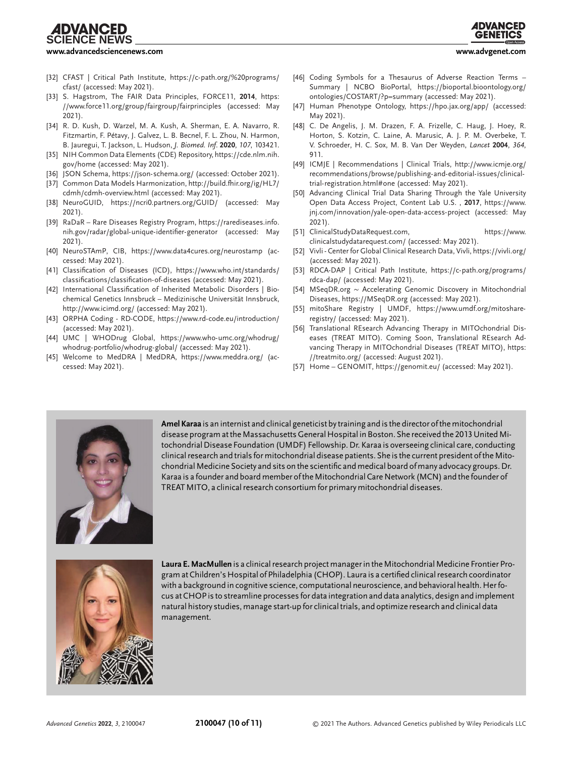## **CIENCE NEWS**



#### **[www.advancedsciencenews.com](http://www.advancedsciencenews.com) [www.advgenet.com](http://www.advgenet.com)**

- 
- [32] CFAST | Critical Path Institute, [https://c-path.org/%20programs/](https://c-path.org/%20programs/cfast/) [cfast/](https://c-path.org/%20programs/cfast/) (accessed: May 2021).
- [33] S. Hagstrom, The FAIR Data Principles, FORCE11, **2014**, [https:](https://www.force11.org/group/fairgroup/fairprinciples) [//www.force11.org/group/fairgroup/fairprinciples](https://www.force11.org/group/fairgroup/fairprinciples) (accessed: May 2021).
- [34] R. D. Kush, D. Warzel, M. A. Kush, A. Sherman, E. A. Navarro, R. Fitzmartin, F. Pétavy, J. Galvez, L. B. Becnel, F. L. Zhou, N. Harmon, B. Jauregui, T. Jackson, L. Hudson, *J. Biomed. Inf*. **2020**, *107*, 103421.
- [35] NIH Common Data Elements (CDE) Repository, [https://cde.nlm.nih.](https://cde.nlm.nih.gov/home) [gov/home](https://cde.nlm.nih.gov/home) (accessed: May 2021).
- [36] JSON Schema,<https://json-schema.org/> (accessed: October 2021).
- [37] Common Data Models Harmonization, [http://build.fhir.org/ig/HL7/](http://build.fhir.org/ig/HL7/cdmh/cdmh-overview.html) [cdmh/cdmh-overview.html](http://build.fhir.org/ig/HL7/cdmh/cdmh-overview.html) (accessed: May 2021).
- [38] NeuroGUID,<https://ncri0.partners.org/GUID/> (accessed: May 2021).
- [39] RaDaR Rare Diseases Registry Program, [https://rarediseases.info.](https://rarediseases.info.nih.gov/radar/global-unique-identifier-generator) [nih.gov/radar/global-unique-identifier-generator](https://rarediseases.info.nih.gov/radar/global-unique-identifier-generator) (accessed: May 2021).
- [40] NeuroSTAmP, CIB,<https://www.data4cures.org/neurostamp> (accessed: May 2021).
- [41] Classification of Diseases (ICD), [https://www.who.int/standards/](https://www.who.int/standards/classifications/classification-of-diseases) [classifications/classification-of-diseases](https://www.who.int/standards/classifications/classification-of-diseases) (accessed: May 2021).
- [42] International Classification of Inherited Metabolic Disorders | Biochemical Genetics Innsbruck – Medizinische Universität Innsbruck, <http://www.icimd.org/> (accessed: May 2021).
- [43] ORPHA Coding RD-CODE,<https://www.rd-code.eu/introduction/> (accessed: May 2021).
- [44] UMC | WHODrug Global, [https://www.who-umc.org/whodrug/](https://www.who-umc.org/whodrug/whodrug-portfolio/whodrug-global/) [whodrug-portfolio/whodrug-global/](https://www.who-umc.org/whodrug/whodrug-portfolio/whodrug-global/) (accessed: May 2021).
- [45] Welcome to MedDRA | MedDRA,<https://www.meddra.org/> (accessed: May 2021).
- [46] Coding Symbols for a Thesaurus of Adverse Reaction Terms -Summary | NCBO BioPortal, [https://bioportal.bioontology.org/](https://bioportal.bioontology.org/ontologies/COSTART/?p=summary) [ontologies/COSTART/?p=summary](https://bioportal.bioontology.org/ontologies/COSTART/?p=summary) (accessed: May 2021).
- [47] Human Phenotype Ontology,<https://hpo.jax.org/app/> (accessed: May 2021).
- [48] C. De Angelis, J. M. Drazen, F. A. Frizelle, C. Haug, J. Hoey, R. Horton, S. Kotzin, C. Laine, A. Marusic, A. J. P. M. Overbeke, T. V. Schroeder, H. C. Sox, M. B. Van Der Weyden, *Lancet* **2004**, *364*, 911.
- [49] ICMJE | Recommendations | Clinical Trials, [http://www.icmje.org/](http://www.icmje.org/recommendations/browse/publishing-and-editorial-issues/clinical-trial-registration.html#one) [recommendations/browse/publishing-and-editorial-issues/clinical](http://www.icmje.org/recommendations/browse/publishing-and-editorial-issues/clinical-trial-registration.html#one)[trial-registration.html#one](http://www.icmje.org/recommendations/browse/publishing-and-editorial-issues/clinical-trial-registration.html#one) (accessed: May 2021).
- [50] Advancing Clinical Trial Data Sharing Through the Yale University Open Data Access Project, Content Lab U.S. , **2017**, [https://www.](https://www.jnj.com/innovation/yale-open-data-access-project) [jnj.com/innovation/yale-open-data-access-project](https://www.jnj.com/innovation/yale-open-data-access-project) (accessed: May 2021).
- [51] ClinicalStudyDataRequest.com, [https://www.](https://www.clinicalstudydatarequest.com/) [clinicalstudydatarequest.com/](https://www.clinicalstudydatarequest.com/) (accessed: May 2021).
- [52] Vivli Center for Global Clinical Research Data, Vivli,<https://vivli.org/> (accessed: May 2021).
- [53] RDCA-DAP | Critical Path Institute, [https://c-path.org/programs/](https://c-path.org/programs/rdca-dap/) [rdca-dap/](https://c-path.org/programs/rdca-dap/) (accessed: May 2021).
- [54] MSeqDR.org <sup>∼</sup> Accelerating Genomic Discovery in Mitochondrial Diseases,<https://MSeqDR.org> (accessed: May 2021).
- [55] mitoShare Registry | UMDF, [https://www.umdf.org/mitoshare](https://www.umdf.org/mitoshare-registry/)[registry/](https://www.umdf.org/mitoshare-registry/) (accessed: May 2021).
- [56] Translational REsearch Advancing Therapy in MITOchondrial Diseases (TREAT MITO). Coming Soon, Translational REsearch Advancing Therapy in MITOchondrial Diseases (TREAT MITO), [https:](https://treatmito.org/) [//treatmito.org/](https://treatmito.org/) (accessed: August 2021).
- [57] Home GENOMIT,<https://genomit.eu/> (accessed: May 2021).



**Amel Karaa** is an internist and clinical geneticist by training and is the director of the mitochondrial disease program at the Massachusetts General Hospital in Boston. She received the 2013 United Mitochondrial Disease Foundation (UMDF) Fellowship. Dr. Karaa is overseeing clinical care, conducting clinical research and trials for mitochondrial disease patients. She is the current president of the Mitochondrial Medicine Society and sits on the scientific and medical board of many advocacy groups. Dr. Karaa is a founder and board member of the Mitochondrial Care Network (MCN) and the founder of TREAT MITO, a clinical research consortium for primary mitochondrial diseases.



**Laura E. MacMullen** is a clinical research project manager in the Mitochondrial Medicine Frontier Program at Children's Hospital of Philadelphia (CHOP). Laura is a certified clinical research coordinator with a background in cognitive science, computational neuroscience, and behavioral health. Her focus at CHOP is to streamline processes for data integration and data analytics, design and implement natural history studies, manage start-up for clinical trials, and optimize research and clinical data management.